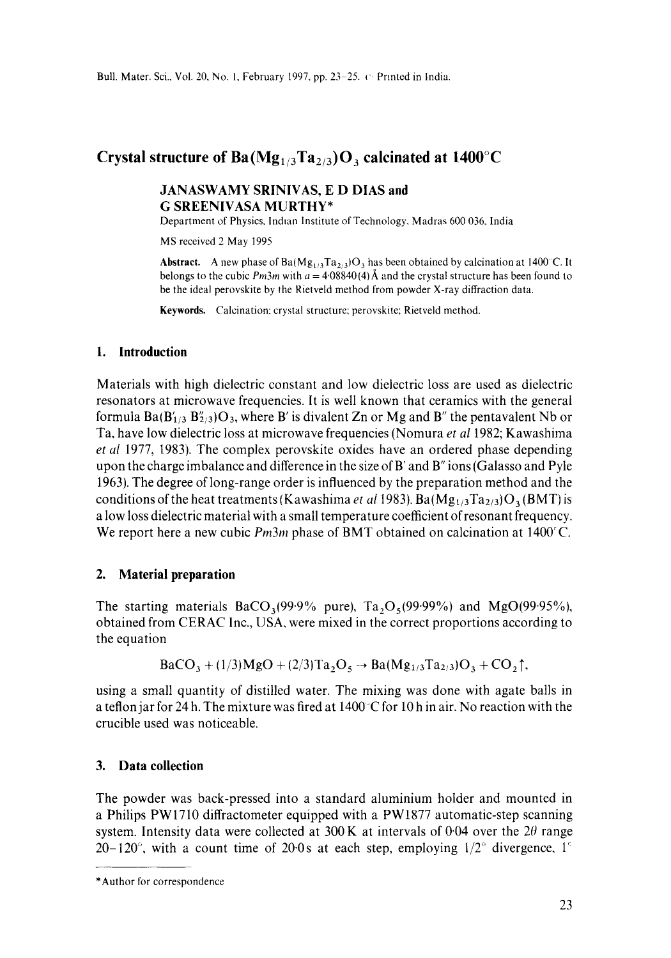# **Crystal structure of Ba(** $Mg_{1/3}Ta_{2/3}$ **)O<sub>3</sub> calcinated at 1400°C**

# **JANASWAMY SRINIVAS, E D DIAS and G SREENIVASA MURTHY\***

Department of Physics, Indian Institute of Technology, Madras 600 036, India

MS received 2 May 1995

**Abstract.** A new phase of  $Ba(Mg_{1/3}Ta_{2/3})O_3$  has been obtained by calcination at 1400 °C. It belongs to the cubic  $Pm3m$  with  $a = 4.08840(4)$  Å and the crystal structure has been found to be the ideal perovskite by the Rietveld method from powder X-ray diffraction data.

**Keywords.** Calcination: crystal structure: perovskite; Rietveld method.

### **1. Introduction**

Materials with high dielectric constant and low dielectric loss are used as dielectric resonators at microwave frequencies. It is well known that ceramics with the general formula Ba( $B'_{1/3} B''_{2/3}$ ) $O_3$ , where B' is divalent Zn or Mg and B" the pentavalent Nb or Ta, have low dielectric loss at microwave frequencies (Nomura *et al* 1982; Kawashima *et al* 1977, 1983). The complex perovskite oxides have an ordered phase depending upon the charge imbalance and difference in the size of B' and B" ions (Galasso and Pyle 1963). The degree of long-range order is influenced by the preparation method and the conditions of the heat treatments (Kawashima *et al* 1983).  $Ba(Mg_{1/3}Ta_{2/3})O_3(BMT)$  is a low loss dielectric material with a small temperature coefficient of resonant frequency. We report here a new cubic *Pm3m* phase of BMT obtained on calcination at 1400°C.

### **2. Material preparation**

The starting materials  $BaCO<sub>3</sub>(99.9\%$  pure), Ta<sub>2</sub>O<sub>5</sub>(99.99%) and MgO(99.95%), obtained from CERAC Inc., USA, were mixed in the correct proportions according to the equation

$$
BaCO_3 + (1/3)MgO + (2/3)Ta_2O_5 \rightarrow Ba(Mg_{1/3}Ta_{2/3})O_3 + CO_2\uparrow,
$$

using a small quantity of distilled water. The mixing was done with agate balls in a teflon jar for 24 h. The mixture was fired at  $1400^{\circ}$ C for 10 h in air. No reaction with the crucible used was noticeable.

# **3. Data collection**

The powder was back-pressed into a standard aluminium holder and mounted in a Philips PW1710 diffractometer equipped with a PW1877 automatic-step scanning system. Intensity data were collected at 300 K at intervals of 0.04 over the  $2\theta$  range 20-120 $^{\circ}$ , with a count time of 20.0s at each step, employing  $1/2^{\circ}$  divergence, 1<sup> $\circ$ </sup>

<sup>\*</sup>Author for correspondence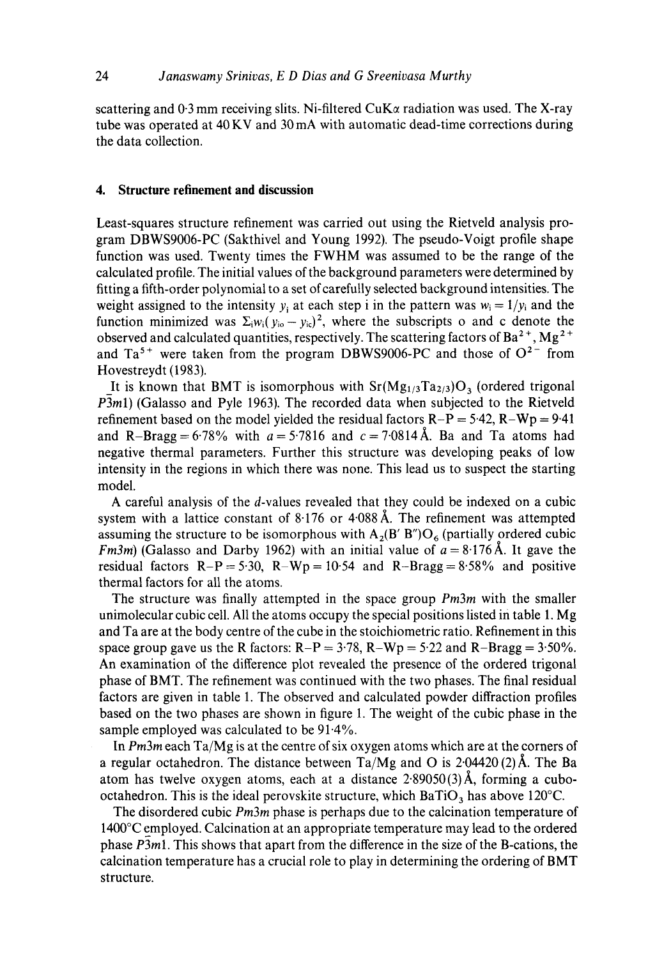scattering and 0.3 mm receiving slits. Ni-filtered CuK $\alpha$  radiation was used. The X-ray tube was operated at 40 KV and 30 mA with automatic dead-time corrections during the data collection.

#### **4. Structure refinement and discussion**

Least-squares structure refinement was carried out using the Rietveld analysis program DBWS9006-PC (Sakthivel and Young 1992). The pseudo-Voigt profile shape function was used. Twenty times the FWHM was assumed to be the range of the calculated profile. The initial values of the background parameters were determined by fitting a fifth-order polynomial to a set of carefully selected background intensities. The weight assigned to the intensity y<sub>i</sub> at each step i in the pattern was  $w_i = 1/y_i$  and the function minimized was  $\Sigma_i w_i (y_{i0} - y_{i0})^2$ , where the subscripts o and c denote the observed and calculated quantities, respectively. The scattering factors of  $Ba^{2+}$ ,  $Mg^{2+}$ and  $Ta^{5+}$  were taken from the program DBWS9006-PC and those of  $O^{2-}$  from Hovestreydt (1983).

It is known that BMT is isomorphous with  $Sr(Mg<sub>1/3</sub>Ta<sub>2/3</sub>)O<sub>3</sub>$  (ordered trigonal *P3m1*) (Galasso and Pyle 1963). The recorded data when subjected to the Rietveld refinement based on the model yielded the residual factors  $R-P = 5.42$ ,  $R-Wp = 9.41$ and R-Bragg = 6.78% with  $a = 5.7816$  and  $c = 7.0814 \text{ Å}$ . Ba and Ta atoms had negative thermal parameters. Further this structure was developing peaks of low intensity in the regions in which there was none. This lead us to suspect the starting model.

A careful analysis of the d-values revealed that they could be indexed on a cubic system with a lattice constant of  $8.176$  or  $4.088$  Å. The refinement was attempted assuming the structure to be isomorphous with  $A_2(B' B'')O_6$  (partially ordered cubic *Fm3m*) (Galasso and Darby 1962) with an initial value of  $a = 8.176$  Å. It gave the residual factors  $R-P = 5.30$ ,  $R-Wp = 10.54$  and  $R-Bragg = 8.58%$  and positive thermal factors for all the atoms.

The structure was finally attempted in the space group *Pm3m* with the smaller unimolecular cubic cell. All the atoms occupy the special positions listed in table 1. Mg and Ta are at the body centre of the cube in the stoichiometric ratio. Refinement in this space group gave us the R factors:  $R-P = 3.78$ ,  $R-Wp = 5.22$  and  $R-Bragg = 3.50\%$ . An examination of the difference plot revealed the presence of the ordered trigonal phase of BMT. The refinement was continued with the two phases. The final residual factors are given in table 1. The observed and calculated powder diffraction profiles based on the two phases are shown in figure 1. The weight of the cubic phase in the sample employed was calculated to be 91.4%.

In *Pm3m* each Ta/Mg is at the centre of six oxygen atoms which are at the corners of a regular octahedron. The distance between  $Ta/Mg$  and O is  $2.04420(2)$  Å. The Ba atom has twelve oxygen atoms, each at a distance  $2.89050(3)$  Å, forming a cubooctahedron. This is the ideal perovskite structure, which  $BaTiO<sub>3</sub>$  has above 120°C.

The disordered cubic *Pm3m* phase is perhaps due to the calcination temperature of 1400°C employed. Calcination at an appropriate temperature may lead to the ordered phase *P3ml.* This shows that apart from the difference in the size of the B-cations, the calcination temperature has a crucial role to play in determining the ordering of BMT structure.